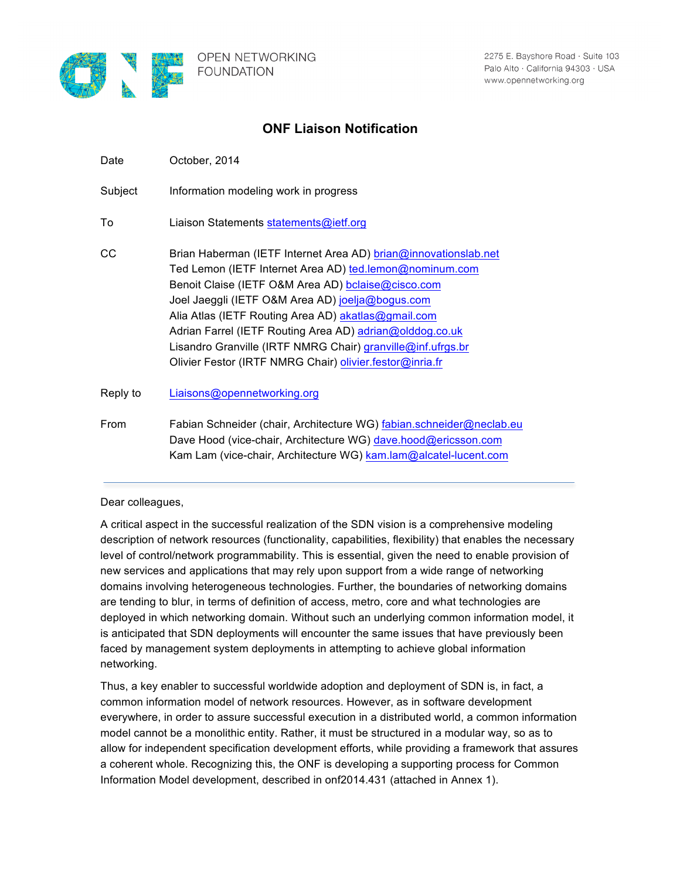

## **ONF Liaison Notification**

| Date     | October, 2014                                                                                                                                                                                                                                                                                                                                                                                                                                                                      |
|----------|------------------------------------------------------------------------------------------------------------------------------------------------------------------------------------------------------------------------------------------------------------------------------------------------------------------------------------------------------------------------------------------------------------------------------------------------------------------------------------|
| Subject  | Information modeling work in progress                                                                                                                                                                                                                                                                                                                                                                                                                                              |
| To       | Liaison Statements statements@ietf.org                                                                                                                                                                                                                                                                                                                                                                                                                                             |
| CС       | Brian Haberman (IETF Internet Area AD) brian@innovationslab.net<br>Ted Lemon (IETF Internet Area AD) ted.lemon@nominum.com<br>Benoit Claise (IETF O&M Area AD) bclaise@cisco.com<br>Joel Jaeggli (IETF O&M Area AD) joelja@bogus.com<br>Alia Atlas (IETF Routing Area AD) akatlas@gmail.com<br>Adrian Farrel (IETF Routing Area AD) adrian@olddog.co.uk<br>Lisandro Granville (IRTF NMRG Chair) granville@inf.ufrgs.br<br>Olivier Festor (IRTF NMRG Chair) olivier.festor@inria.fr |
| Reply to | Liaisons@opennetworking.org                                                                                                                                                                                                                                                                                                                                                                                                                                                        |
| From     | Fabian Schneider (chair, Architecture WG) fabian.schneider@neclab.eu<br>Dave Hood (vice-chair, Architecture WG) dave.hood@ericsson.com<br>Kam Lam (vice-chair, Architecture WG) kam.lam@alcatel-lucent.com                                                                                                                                                                                                                                                                         |

## Dear colleagues,

A critical aspect in the successful realization of the SDN vision is a comprehensive modeling description of network resources (functionality, capabilities, flexibility) that enables the necessary level of control/network programmability. This is essential, given the need to enable provision of new services and applications that may rely upon support from a wide range of networking domains involving heterogeneous technologies. Further, the boundaries of networking domains are tending to blur, in terms of definition of access, metro, core and what technologies are deployed in which networking domain. Without such an underlying common information model, it is anticipated that SDN deployments will encounter the same issues that have previously been faced by management system deployments in attempting to achieve global information networking.

Thus, a key enabler to successful worldwide adoption and deployment of SDN is, in fact, a common information model of network resources. However, as in software development everywhere, in order to assure successful execution in a distributed world, a common information model cannot be a monolithic entity. Rather, it must be structured in a modular way, so as to allow for independent specification development efforts, while providing a framework that assures a coherent whole. Recognizing this, the ONF is developing a supporting process for Common Information Model development, described in onf2014.431 (attached in Annex 1).